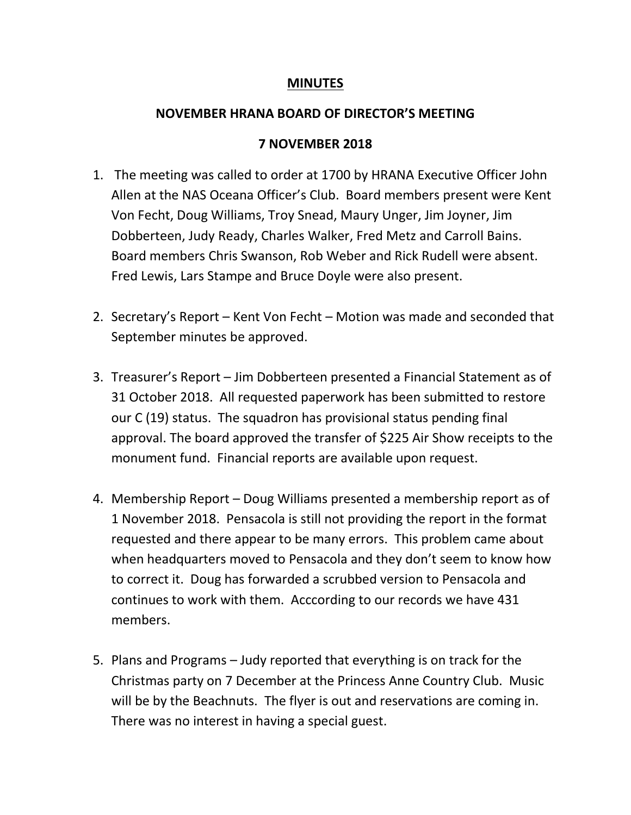## **MINUTES**

## **NOVEMBER HRANA BOARD OF DIRECTOR'S MEETING**

## **7 NOVEMBER 2018**

- 1. The meeting was called to order at 1700 by HRANA Executive Officer John Allen at the NAS Oceana Officer's Club. Board members present were Kent Von Fecht, Doug Williams, Troy Snead, Maury Unger, Jim Joyner, Jim Dobberteen, Judy Ready, Charles Walker, Fred Metz and Carroll Bains. Board members Chris Swanson, Rob Weber and Rick Rudell were absent. Fred Lewis, Lars Stampe and Bruce Doyle were also present.
- 2. Secretary's Report Kent Von Fecht Motion was made and seconded that September minutes be approved.
- 3. Treasurer's Report Jim Dobberteen presented a Financial Statement as of 31 October 2018. All requested paperwork has been submitted to restore our C (19) status. The squadron has provisional status pending final approval. The board approved the transfer of \$225 Air Show receipts to the monument fund. Financial reports are available upon request.
- 4. Membership Report Doug Williams presented a membership report as of 1 November 2018. Pensacola is still not providing the report in the format requested and there appear to be many errors. This problem came about when headquarters moved to Pensacola and they don't seem to know how to correct it. Doug has forwarded a scrubbed version to Pensacola and continues to work with them. Acccording to our records we have 431 members.
- 5. Plans and Programs Judy reported that everything is on track for the Christmas party on 7 December at the Princess Anne Country Club. Music will be by the Beachnuts. The flyer is out and reservations are coming in. There was no interest in having a special guest.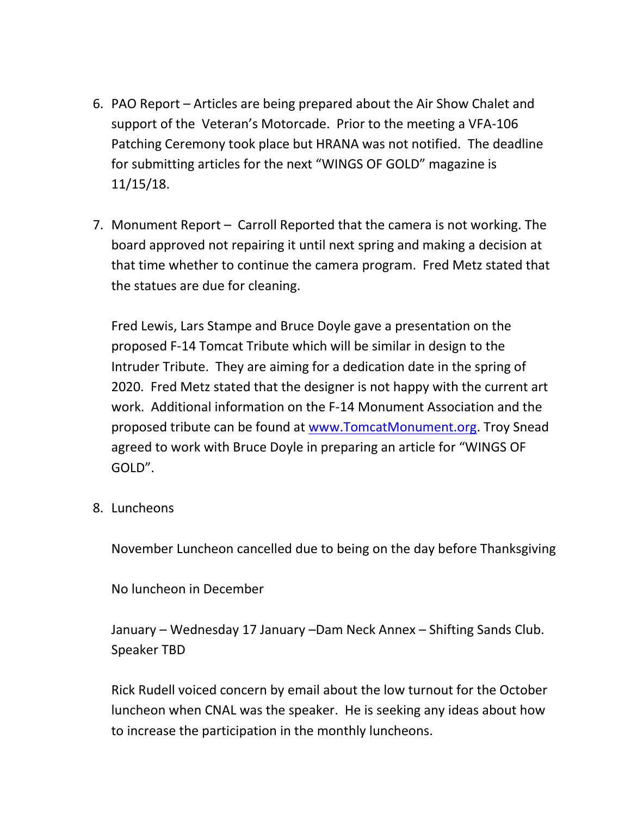- 6. PAO Report Articles are being prepared about the Air Show Chalet and support of the Veteran's Motorcade. Prior to the meeting a VFA-106 Patching Ceremony took place but HRANA was not notified. The deadline for submitting articles for the next "WINGS OF GOLD" magazine is 11/15/18.
- 7. Monument Report Carroll Reported that the camera is not working. The board approved not repairing it until next spring and making a decision at that time whether to continue the camera program. Fred Metz stated that the statues are due for cleaning.

Fred Lewis, Lars Stampe and Bruce Doyle gave a presentation on the proposed F-14 Tomcat Tribute which will be similar in design to the Intruder Tribute. They are aiming for a dedication date in the spring of 2020. Fred Metz stated that the designer is not happy with the current art work. Additional information on the F-14 Monument Association and the proposed tribute can be found at [www.TomcatMonument.org.](http://www.tomcatmonument.org/) Troy Snead agreed to work with Bruce Doyle in preparing an article for "WINGS OF GOLD".

8. Luncheons

November Luncheon cancelled due to being on the day before Thanksgiving

No luncheon in December

January – Wednesday 17 January –Dam Neck Annex – Shifting Sands Club. Speaker TBD

Rick Rudell voiced concern by email about the low turnout for the October luncheon when CNAL was the speaker. He is seeking any ideas about how to increase the participation in the monthly luncheons.